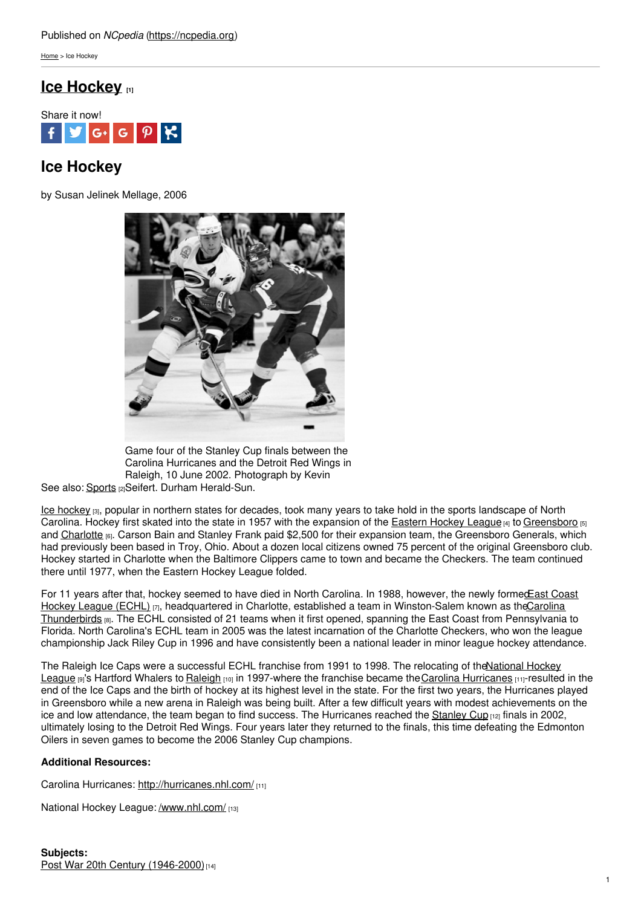[Home](https://ncpedia.org/) > Ice Hockey

## **Ice [Hockey](https://ncpedia.org/ice-hockey) [1]**



## **Ice Hockey**

by Susan Jelinek Mellage, 2006



Game four of the Stanley Cup finals between the Carolina Hurricanes and the Detroit Red Wings in Raleigh, 10 June 2002. Photograph by Kevin

See also: <u>[Sports](https://ncpedia.org/sports)</u> വ Seifert. Durham Herald-Sun.

Ice [hockey](http://www.usahockey.com/) [3], popular in northern states for decades, took many years to take hold in the sports landscape of North Carolina. Hockey first skated into the state in 1957 with the expansion of the [Eastern](http://theehl.com/) Hockey League [4] to [Greensboro](https://ncpedia.org/greensboro-0) [5] and [Charlotte](https://ncpedia.org/geography/charlotte) [6]. Carson Bain and Stanley Frank paid \$2,500 for their expansion team, the Greensboro Generals, which had previously been based in Troy, Ohio. About a dozen local citizens owned 75 percent of the original Greensboro club. Hockey started in Charlotte when the Baltimore Clippers came to town and became the Checkers. The team continued there until 1977, when the Eastern Hockey League folded.

For 11 years after that, hockey seemed to have died in North Carolina. In 1988, however, the newly formedEast Coast Hockey League (ECHL) [7], headquartered in Charlotte, established a team in [Winston-Salem](http://www.echlhalloffame.com/history) known as theCarolina Thunderbirds [8]. The ECHL consisted of 21 teams when it first opened, spanning the East Coast from Pennsylvania to Florida. North Carolina's ECHL team in 2005 was the latest incarnation of the Charlotte Checkers, who won the league championship Jack Riley Cup in 1996 and have consistently been a national leader in minor league hockey attendance.

The Raleigh Ice Caps were a successful ECHL franchise from 1991 to 1998. The relocating of theNational Hockey League [9]'s Hartford Whalers to [Raleigh](https://ncpedia.org/geography/raleigh) [10] in [1997-where](http://www.nhl.com/) the franchise became the Carolina [Hurricanes](http://hurricanes.nhl.com/) [11]-resulted in the end of the Ice Caps and the birth of hockey at its highest level in the state. For the first two years, the Hurricanes played in Greensboro while a new arena in Raleigh was being built. After a few difficult years with modest achievements on the ice and low attendance, the team began to find success. The Hurricanes reached the [Stanley](http://www.nhl.com/ice/stanleycup.htm) Cup [12] finals in 2002, ultimately losing to the Detroit Red Wings. Four years later they returned to the finals, this time defeating the Edmonton Oilers in seven games to become the 2006 Stanley Cup champions.

## **Additional Resources:**

Carolina Hurricanes: <http://hurricanes.nhl.com/> [11]

National Hockey League: [/www.nhl.com/](https://ncpedia.org/www.nhl.com) [13]